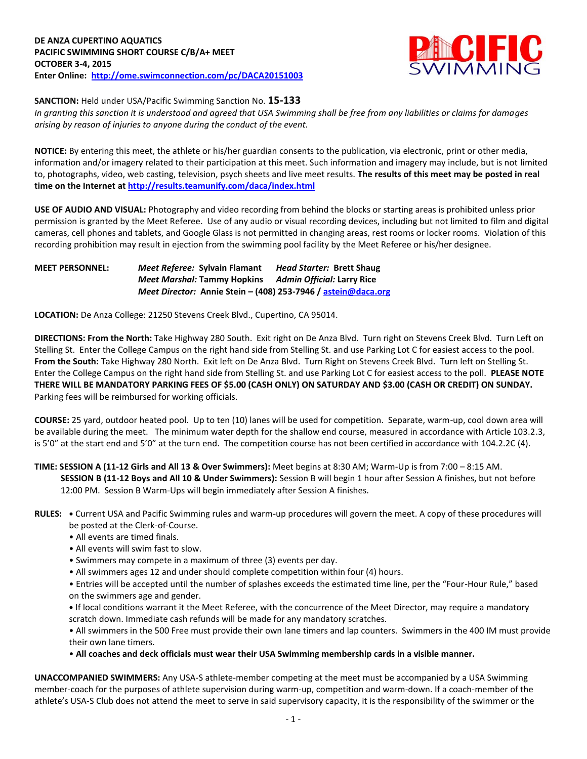

**SANCTION:** Held under USA/Pacific Swimming Sanction No. **15-133**

*In granting this sanction it is understood and agreed that USA Swimming shall be free from any liabilities or claims for damages arising by reason of injuries to anyone during the conduct of the event.*

**NOTICE:** By entering this meet, the athlete or his/her guardian consents to the publication, via electronic, print or other media, information and/or imagery related to their participation at this meet. Such information and imagery may include, but is not limited to, photographs, video, web casting, television, psych sheets and live meet results. **The results of this meet may be posted in real time on the Internet a[t http://results.teamunify.com/daca/index.html](http://results.teamunify.com/daca/index.html)**

**USE OF AUDIO AND VISUAL:** Photography and video recording from behind the blocks or starting areas is prohibited unless prior permission is granted by the Meet Referee. Use of any audio or visual recording devices, including but not limited to film and digital cameras, cell phones and tablets, and Google Glass is not permitted in changing areas, rest rooms or locker rooms. Violation of this recording prohibition may result in ejection from the swimming pool facility by the Meet Referee or his/her designee.

## **MEET PERSONNEL:** *Meet Referee:* **Sylvain Flamant** *Head Starter:* **Brett Shaug** *Meet Marshal:* **Tammy Hopkins** *Admin Official:* **Larry Rice** *Meet Director:* **Annie Stein – (408) 253-7946 / [astein@daca.org](mailto:astein@daca.org)**

**LOCATION:** De Anza College: 21250 Stevens Creek Blvd., Cupertino, CA 95014.

**DIRECTIONS: From the North:** Take Highway 280 South. Exit right on De Anza Blvd. Turn right on Stevens Creek Blvd. Turn Left on Stelling St. Enter the College Campus on the right hand side from Stelling St. and use Parking Lot C for easiest access to the pool. **From the South:** Take Highway 280 North. Exit left on De Anza Blvd. Turn Right on Stevens Creek Blvd. Turn left on Stelling St. Enter the College Campus on the right hand side from Stelling St. and use Parking Lot C for easiest access to the poll. **PLEASE NOTE THERE WILL BE MANDATORY PARKING FEES OF \$5.00 (CASH ONLY) ON SATURDAY AND \$3.00 (CASH OR CREDIT) ON SUNDAY.**  Parking fees will be reimbursed for working officials.

**COURSE:** 25 yard, outdoor heated pool. Up to ten (10) lanes will be used for competition. Separate, warm-up, cool down area will be available during the meet. The minimum water depth for the shallow end course, measured in accordance with Article 103.2.3, is 5'0" at the start end and 5'0" at the turn end. The competition course has not been certified in accordance with 104.2.2C (4).

**TIME: SESSION A (11-12 Girls and All 13 & Over Swimmers):** Meet begins at 8:30 AM; Warm-Up is from 7:00 – 8:15 AM. **SESSION B (11-12 Boys and All 10 & Under Swimmers):** Session B will begin 1 hour after Session A finishes, but not before 12:00 PM. Session B Warm-Ups will begin immediately after Session A finishes.

- **RULES: •** Current USA and Pacific Swimming rules and warm-up procedures will govern the meet. A copy of these procedures will be posted at the Clerk-of-Course.
	- All events are timed finals.
	- All events will swim fast to slow.
	- Swimmers may compete in a maximum of three (3) events per day.
	- All swimmers ages 12 and under should complete competition within four (4) hours.

• Entries will be accepted until the number of splashes exceeds the estimated time line, per the "Four-Hour Rule," based on the swimmers age and gender.

**•** If local conditions warrant it the Meet Referee, with the concurrence of the Meet Director, may require a mandatory scratch down. Immediate cash refunds will be made for any mandatory scratches.

• All swimmers in the 500 Free must provide their own lane timers and lap counters. Swimmers in the 400 IM must provide their own lane timers.

• **All coaches and deck officials must wear their USA Swimming membership cards in a visible manner.** 

**UNACCOMPANIED SWIMMERS:** Any USA-S athlete-member competing at the meet must be accompanied by a USA Swimming member-coach for the purposes of athlete supervision during warm-up, competition and warm-down. If a coach-member of the athlete's USA-S Club does not attend the meet to serve in said supervisory capacity, it is the responsibility of the swimmer or the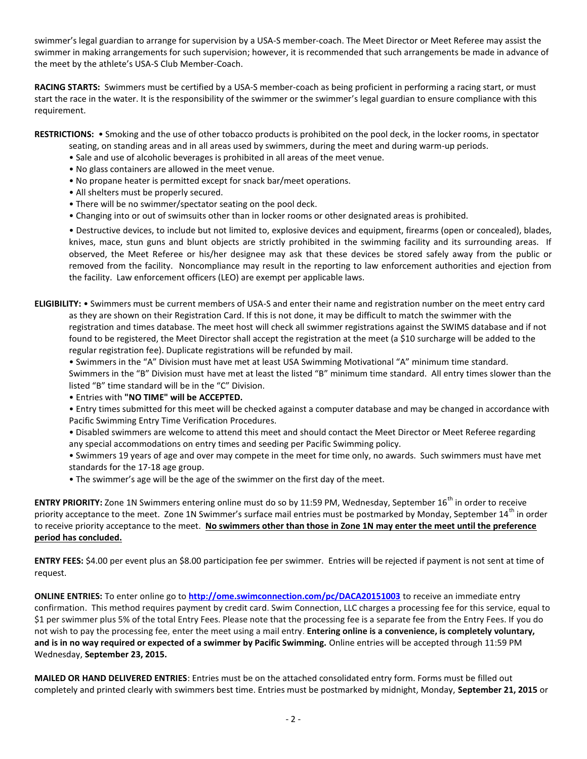swimmer's legal guardian to arrange for supervision by a USA-S member-coach. The Meet Director or Meet Referee may assist the swimmer in making arrangements for such supervision; however, it is recommended that such arrangements be made in advance of the meet by the athlete's USA-S Club Member-Coach.

**RACING STARTS:** Swimmers must be certified by a USA-S member-coach as being proficient in performing a racing start, or must start the race in the water. It is the responsibility of the swimmer or the swimmer's legal guardian to ensure compliance with this requirement.

**RESTRICTIONS:** • Smoking and the use of other tobacco products is prohibited on the pool deck, in the locker rooms, in spectator

- seating, on standing areas and in all areas used by swimmers, during the meet and during warm-up periods.
- Sale and use of alcoholic beverages is prohibited in all areas of the meet venue.
- No glass containers are allowed in the meet venue.
- No propane heater is permitted except for snack bar/meet operations.
- All shelters must be properly secured.
- There will be no swimmer/spectator seating on the pool deck.
- Changing into or out of swimsuits other than in locker rooms or other designated areas is prohibited.

• Destructive devices, to include but not limited to, explosive devices and equipment, firearms (open or concealed), blades, knives, mace, stun guns and blunt objects are strictly prohibited in the swimming facility and its surrounding areas. If observed, the Meet Referee or his/her designee may ask that these devices be stored safely away from the public or removed from the facility. Noncompliance may result in the reporting to law enforcement authorities and ejection from the facility. Law enforcement officers (LEO) are exempt per applicable laws.

**ELIGIBILITY:** • Swimmers must be current members of USA-S and enter their name and registration number on the meet entry card as they are shown on their Registration Card. If this is not done, it may be difficult to match the swimmer with the registration and times database. The meet host will check all swimmer registrations against the SWIMS database and if not found to be registered, the Meet Director shall accept the registration at the meet (a \$10 surcharge will be added to the regular registration fee). Duplicate registrations will be refunded by mail.

• Swimmers in the "A" Division must have met at least USA Swimming Motivational "A" minimum time standard. Swimmers in the "B" Division must have met at least the listed "B" minimum time standard. All entry times slower than the listed "B" time standard will be in the "C" Division.

• Entries with **"NO TIME" will be ACCEPTED.**

• Entry times submitted for this meet will be checked against a computer database and may be changed in accordance with Pacific Swimming Entry Time Verification Procedures.

• Disabled swimmers are welcome to attend this meet and should contact the Meet Director or Meet Referee regarding any special accommodations on entry times and seeding per Pacific Swimming policy.

• Swimmers 19 years of age and over may compete in the meet for time only, no awards. Such swimmers must have met standards for the 17-18 age group.

• The swimmer's age will be the age of the swimmer on the first day of the meet.

**ENTRY PRIORITY:** Zone 1N Swimmers entering online must do so by 11:59 PM, Wednesday, September 16<sup>th</sup> in order to receive priority acceptance to the meet. Zone 1N Swimmer's surface mail entries must be postmarked by Monday, September 14<sup>th</sup> in order to receive priority acceptance to the meet. **No swimmers other than those in Zone 1N may enter the meet until the preference period has concluded.**

**ENTRY FEES:** \$4.00 per event plus an \$8.00 participation fee per swimmer. Entries will be rejected if payment is not sent at time of request.

**ONLINE ENTRIES:** To enter online go to **<http://ome.swimconnection.com/pc/DACA20151003>** to receive an immediate entry confirmation. This method requires payment by credit card. Swim Connection, LLC charges a processing fee for this service, equal to \$1 per swimmer plus 5% of the total Entry Fees. Please note that the processing fee is a separate fee from the Entry Fees. If you do not wish to pay the processing fee, enter the meet using a mail entry. **Entering online is a convenience, is completely voluntary, and is in no way required or expected of a swimmer by Pacific Swimming.** Online entries will be accepted through 11:59 PM Wednesday, **September 23, 2015.**

**MAILED OR HAND DELIVERED ENTRIES**: Entries must be on the attached consolidated entry form. Forms must be filled out completely and printed clearly with swimmers best time. Entries must be postmarked by midnight, Monday, **September 21, 2015** or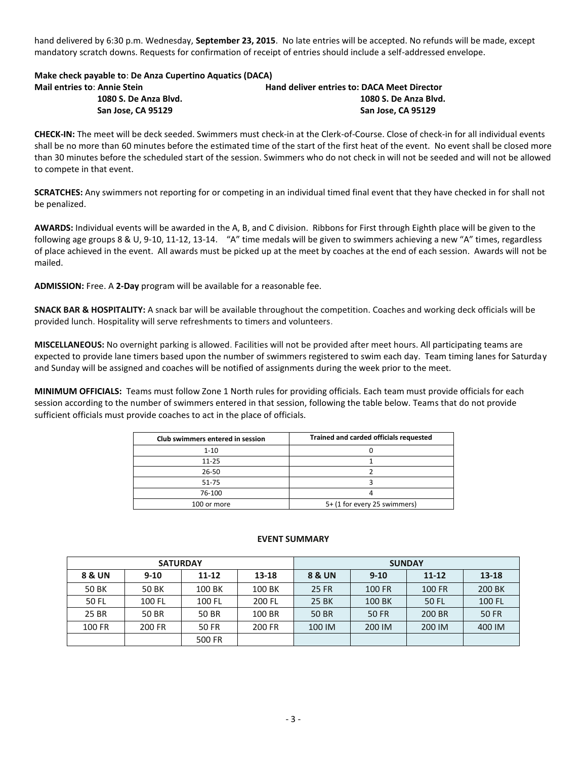hand delivered by 6:30 p.m. Wednesday, **September 23, 2015**. No late entries will be accepted. No refunds will be made, except mandatory scratch downs. Requests for confirmation of receipt of entries should include a self-addressed envelope.

## **Make check payable to**: **De Anza Cupertino Aquatics (DACA)**

| <b>Mail entries to: Annie Stein</b> | <b>Hand deliver entries to: DACA Meet Director</b> |
|-------------------------------------|----------------------------------------------------|
| 1080 S. De Anza Blvd.               | 1080 S. De Anza Blvd.                              |
| San Jose, CA 95129                  | San Jose. CA 95129                                 |

**CHECK-IN:** The meet will be deck seeded. Swimmers must check-in at the Clerk-of-Course. Close of check-in for all individual events shall be no more than 60 minutes before the estimated time of the start of the first heat of the event. No event shall be closed more than 30 minutes before the scheduled start of the session. Swimmers who do not check in will not be seeded and will not be allowed to compete in that event.

**SCRATCHES:** Any swimmers not reporting for or competing in an individual timed final event that they have checked in for shall not be penalized.

**AWARDS:** Individual events will be awarded in the A, B, and C division. Ribbons for First through Eighth place will be given to the following age groups 8 & U, 9-10, 11-12, 13-14. "A" time medals will be given to swimmers achieving a new "A" times, regardless of place achieved in the event. All awards must be picked up at the meet by coaches at the end of each session. Awards will not be mailed.

**ADMISSION:** Free. A **2-Day** program will be available for a reasonable fee.

**SNACK BAR & HOSPITALITY:** A snack bar will be available throughout the competition. Coaches and working deck officials will be provided lunch. Hospitality will serve refreshments to timers and volunteers.

**MISCELLANEOUS:** No overnight parking is allowed. Facilities will not be provided after meet hours. All participating teams are expected to provide lane timers based upon the number of swimmers registered to swim each day. Team timing lanes for Saturday and Sunday will be assigned and coaches will be notified of assignments during the week prior to the meet.

**MINIMUM OFFICIALS:** Teams must follow Zone 1 North rules for providing officials. Each team must provide officials for each session according to the number of swimmers entered in that session, following the table below. Teams that do not provide sufficient officials must provide coaches to act in the place of officials.

| Club swimmers entered in session | Trained and carded officials requested |
|----------------------------------|----------------------------------------|
| $1 - 10$                         |                                        |
| $11 - 25$                        |                                        |
| 26-50                            |                                        |
| 51-75                            |                                        |
| 76-100                           |                                        |
| 100 or more                      | 5+ (1 for every 25 swimmers)           |

## **EVENT SUMMARY**

|              | <b>SATURDAY</b> |           |        | <b>SUNDAY</b> |          |               |              |  |  |
|--------------|-----------------|-----------|--------|---------------|----------|---------------|--------------|--|--|
| 8 & UN       | $9-10$          | $11 - 12$ | 13-18  | 8 & UN        | $9 - 10$ | $11 - 12$     | 13-18        |  |  |
| <b>50 BK</b> | 50 BK           | 100 BK    | 100 BK | 25 FR         | 100 FR   | <b>100 FR</b> | 200 BK       |  |  |
| 50 FL        | 100 FL          | 100 FL    | 200 FL | 25 BK         | 100 BK   | 50 FL         | 100 FL       |  |  |
| 25 BR        | 50 BR           | 50 BR     | 100 BR | 50 BR         | 50 FR    | 200 BR        | <b>50 FR</b> |  |  |
| 100 FR       | 200 FR          | 50 FR     | 200 FR | 100 IM        | 200 IM   | 200 IM        | 400 IM       |  |  |
|              |                 | 500 FR    |        |               |          |               |              |  |  |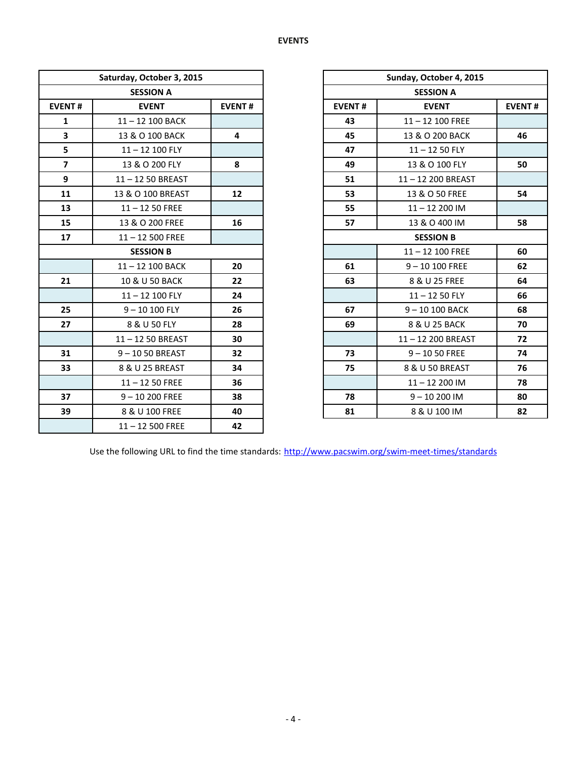|                | Saturday, October 3, 2015 |               |               | Sunday, October 4, 2015 |
|----------------|---------------------------|---------------|---------------|-------------------------|
|                | <b>SESSION A</b>          |               |               | <b>SESSION A</b>        |
| <b>EVENT#</b>  | <b>EVENT</b>              | <b>EVENT#</b> | <b>EVENT#</b> | <b>EVENT</b>            |
| $\mathbf{1}$   | 11-12 100 BACK            |               | 43            | $11 - 12$ 100 FREE      |
| 3              | 13 & O 100 BACK           | 4             | 45            | 13 & O 200 BACK         |
| 5              | $11 - 12$ 100 FLY         |               | 47            | $11 - 1250$ FLY         |
| $\overline{7}$ | 13 & O 200 FLY            | 8             | 49            | 13 & O 100 FLY          |
| 9              | 11-12 50 BREAST           |               | 51            | 11-12 200 BREAST        |
| 11             | 13 & O 100 BREAST         | 12            | 53            | 13 & O 50 FREE          |
| 13             | $11 - 1250$ FREE          |               | 55            | $11 - 12200$ IM         |
| 15             | 13 & O 200 FREE           | 16            | 57            | 13 & O 400 IM           |
| 17             | $11 - 12500$ FREE         |               |               | <b>SESSION B</b>        |
|                | <b>SESSION B</b>          |               |               | $11 - 12$ 100 FREE      |
|                | 11-12 100 BACK            | 20            | 61            | $9 - 10100$ FREE        |
| 21             | 10 & U 50 BACK            | 22            | 63            | 8 & U 25 FREE           |
|                | 11-12 100 FLY             | 24            |               | $11 - 1250$ FLY         |
| 25             | $9 - 10100$ FLY           | 26            | 67            | 9-10 100 BACK           |
| 27             | 8 & U 50 FLY              | 28            | 69            | 8 & U 25 BACK           |
|                | 11-12 50 BREAST           | 30            |               | 11-12 200 BREAST        |
| 31             | 9-1050 BREAST             | 32            | 73            | $9 - 1050$ FREE         |
| 33             | 8 & U 25 BREAST           | 34            | 75            | 8 & U 50 BREAST         |
|                | $11 - 1250$ FREE          | 36            |               | $11 - 12200$ IM         |
| 37             | $9 - 10200$ FREE          | 38            | 78            | $9 - 10200$ IM          |
| 39             | 8 & U 100 FREE            | 40            | 81            | 8 & U 100 IM            |
|                | $11 - 12500$ FREE         | 42            |               |                         |

|                         | Saturday, October 3, 2015 |                 |               | Sunday, October 4, 2015 |               |  |  |  |
|-------------------------|---------------------------|-----------------|---------------|-------------------------|---------------|--|--|--|
|                         | <b>SESSION A</b>          |                 |               | <b>SESSION A</b>        |               |  |  |  |
| <b>EVENT#</b>           | <b>EVENT</b>              | <b>EVENT#</b>   | <b>EVENT#</b> | <b>EVENT</b>            | <b>EVENT#</b> |  |  |  |
| $\mathbf{1}$            | 11-12 100 BACK            |                 | 43            | $11 - 12$ 100 FREE      |               |  |  |  |
| $\overline{\mathbf{3}}$ | 13 & O 100 BACK           | 4               | 45            | 13 & O 200 BACK         | 46            |  |  |  |
| 5                       | $11 - 12$ 100 FLY         |                 | 47            | $11 - 1250$ FLY         |               |  |  |  |
| $\overline{\mathbf{z}}$ | 13 & O 200 FLY            | 8               | 49            | 13 & O 100 FLY          | 50            |  |  |  |
| 9                       | 11-12 50 BREAST           |                 | 51            | 11-12 200 BREAST        |               |  |  |  |
| 11                      | 13 & O 100 BREAST         | 12 <sup>2</sup> | 53            | 13 & O 50 FREE          | 54            |  |  |  |
| 13                      | $11 - 1250$ FREE          |                 | 55            | $11 - 12200$ IM         |               |  |  |  |
| 15                      | 13 & O 200 FREE           | 16              | 57            | 13 & O 400 IM           | 58            |  |  |  |
| 17                      | $11 - 12500$ FREE         |                 |               | <b>SESSION B</b>        |               |  |  |  |
|                         | <b>SESSION B</b>          |                 |               | $11 - 12$ 100 FREE      | 60            |  |  |  |
|                         | 11-12 100 BACK            | 20              | 61            | $9 - 10100$ FREE        | 62            |  |  |  |
| 21                      | 10 & U 50 BACK            | 22              | 63            | 8 & U 25 FREE           | 64            |  |  |  |
|                         | 11-12 100 FLY             | 24              |               | $11 - 1250$ FLY         | 66            |  |  |  |
| 25                      | $9 - 10100$ FLY           | 26              | 67            | $9 - 10100$ BACK        | 68            |  |  |  |
| 27                      | 8 & U 50 FLY              | 28              | 69            | 8 & U 25 BACK           | 70            |  |  |  |
|                         | 11-12 50 BREAST           | 30              |               | 11-12 200 BREAST        | 72            |  |  |  |
| 31                      | $9 - 1050$ BREAST         | 32              | 73            | $9 - 1050$ FREE         | 74            |  |  |  |
| 33                      | 8 & U 25 BREAST           | 34              | 75            | 8 & U 50 BREAST         | 76            |  |  |  |
|                         | $11 - 1250$ FREE          | 36              |               | $11 - 12200$ IM         | 78            |  |  |  |
| 37                      | $9 - 10200$ FREE          | 38              | 78            | $9 - 10200$ IM          | 80            |  |  |  |
| 39                      | 8 & U 100 FREE            | 40              | 81            | 8 & U 100 IM            | 82            |  |  |  |

Use the following URL to find the time standards: <http://www.pacswim.org/swim-meet-times/standards>